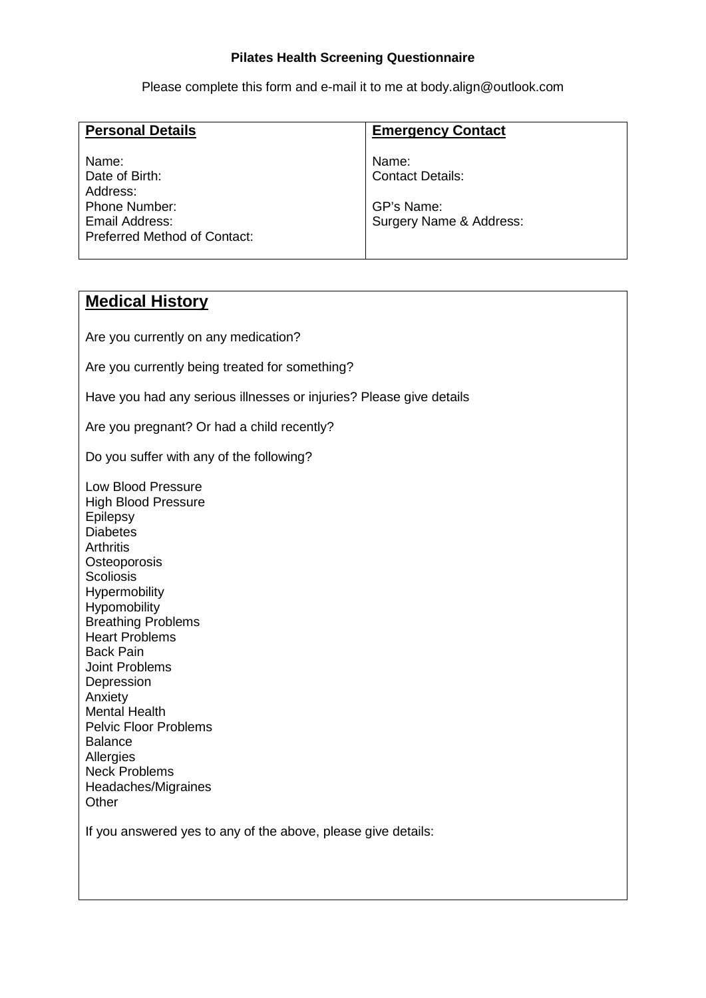#### **Pilates Health Screening Questionnaire**

Please complete this form and e-mail it to me at body.align@outlook.com

| <b>Personal Details</b>                                                                                              | <b>Emergency Contact</b>                                                  |
|----------------------------------------------------------------------------------------------------------------------|---------------------------------------------------------------------------|
| Name:<br>Date of Birth:<br>Address:<br><b>Phone Number:</b><br>Email Address:<br><b>Preferred Method of Contact:</b> | Name:<br><b>Contact Details:</b><br>GP's Name:<br>Surgery Name & Address: |

### **Medical History**

Are you currently on any medication? Are you currently being treated for something?

Have you had any serious illnesses or injuries? Please give details

Are you pregnant? Or had a child recently?

Do you suffer with any of the following?

Low Blood Pressure High Blood Pressure Epilepsy **Diabetes Arthritis Osteoporosis Scoliosis Hypermobility Hypomobility** Breathing Problems Heart Problems Back Pain Joint Problems Depression Anxiety Mental Health Pelvic Floor Problems **Balance** Allergies Neck Problems Headaches/Migraines **Other** 

If you answered yes to any of the above, please give details: